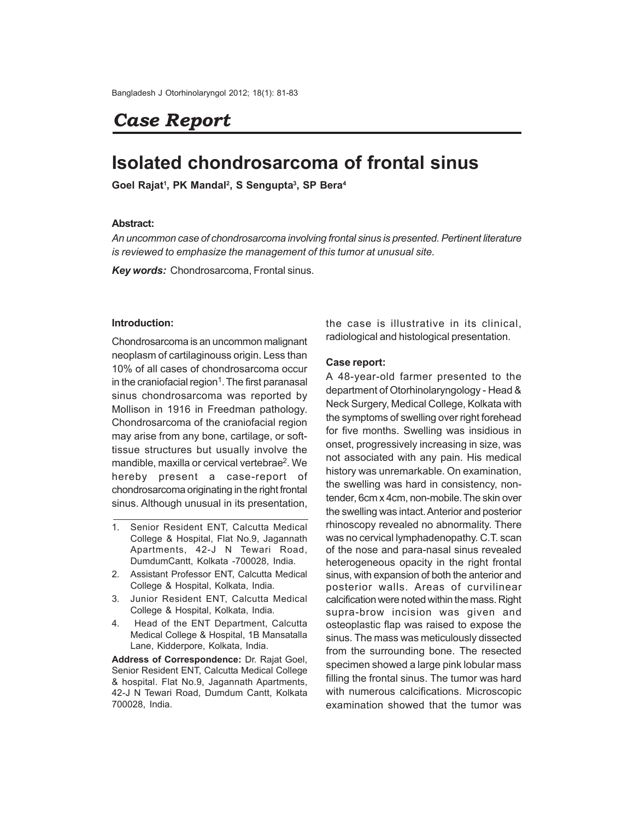# *Case Report*

# **Isolated chondrosarcoma of frontal sinus**

**Goel Rajat<sup>1</sup> , PK Mandal<sup>2</sup> , S Sengupta<sup>3</sup> , SP Bera<sup>4</sup>**

## **Abstract:**

*An uncommon case of chondrosarcoma involving frontal sinus is presented. Pertinent literature is reviewed to emphasize the management of this tumor at unusual site.*

*Key words:* Chondrosarcoma, Frontal sinus.

### **Introduction:**

Chondrosarcoma is an uncommon malignant neoplasm of cartilaginouss origin. Less than 10% of all cases of chondrosarcoma occur in the craniofacial region<sup>1</sup>. The first paranasal sinus chondrosarcoma was reported by Mollison in 1916 in Freedman pathology. Chondrosarcoma of the craniofacial region may arise from any bone, cartilage, or softtissue structures but usually involve the mandible, maxilla or cervical vertebrae<sup>2</sup>. We hereby present a case-report of chondrosarcoma originating in the right frontal sinus. Although unusual in its presentation,

- 1. Senior Resident ENT, Calcutta Medical College & Hospital, Flat No.9, Jagannath Apartments, 42-J N Tewari Road, DumdumCantt, Kolkata -700028, India.
- 2. Assistant Professor ENT, Calcutta Medical College & Hospital, Kolkata, India.
- 3. Junior Resident ENT, Calcutta Medical College & Hospital, Kolkata, India.
- 4. Head of the ENT Department, Calcutta Medical College & Hospital, 1B Mansatalla Lane, Kidderpore, Kolkata, India.

**Address of Correspondence:** Dr. Rajat Goel, Senior Resident ENT, Calcutta Medical College & hospital. Flat No.9, Jagannath Apartments, 42-J N Tewari Road, Dumdum Cantt, Kolkata 700028, India.

the case is illustrative in its clinical, radiological and histological presentation.

#### **Case report:**

A 48-year-old farmer presented to the department of Otorhinolaryngology - Head & Neck Surgery, Medical College, Kolkata with the symptoms of swelling over right forehead for five months. Swelling was insidious in onset, progressively increasing in size, was not associated with any pain. His medical history was unremarkable. On examination, the swelling was hard in consistency, nontender, 6cm x 4cm, non-mobile. The skin over the swelling was intact. Anterior and posterior rhinoscopy revealed no abnormality. There was no cervical lymphadenopathy. C.T. scan of the nose and para-nasal sinus revealed heterogeneous opacity in the right frontal sinus, with expansion of both the anterior and posterior walls. Areas of curvilinear calcification were noted within the mass. Right supra-brow incision was given and osteoplastic flap was raised to expose the sinus. The mass was meticulously dissected from the surrounding bone. The resected specimen showed a large pink lobular mass filling the frontal sinus. The tumor was hard with numerous calcifications. Microscopic examination showed that the tumor was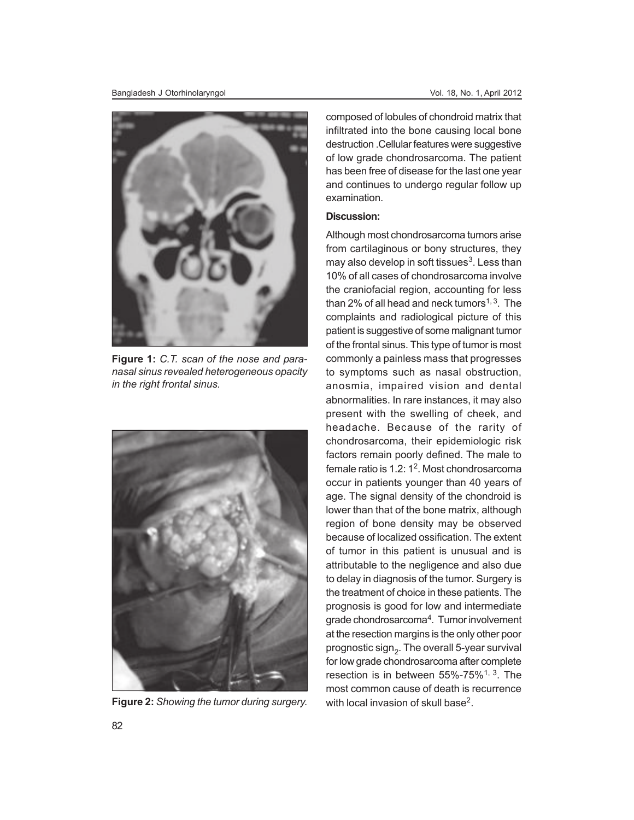

**Figure 1:** *C.T. scan of the nose and paranasal sinus revealed heterogeneous opacity in the right frontal sinus.*



**Figure 2:** *Showing the tumor during surgery.* with local invasion of skull base<sup>2</sup>.

composed of lobules of chondroid matrix that infiltrated into the bone causing local bone destruction .Cellular features were suggestive of low grade chondrosarcoma. The patient has been free of disease for the last one year and continues to undergo regular follow up examination.

## **Discussion:**

Although most chondrosarcoma tumors arise from cartilaginous or bony structures, they may also develop in soft tissues<sup>3</sup>. Less than 10% of all cases of chondrosarcoma involve the craniofacial region, accounting for less than 2% of all head and neck tumors $1,3$ . The complaints and radiological picture of this patient is suggestive of some malignant tumor of the frontal sinus. This type of tumor is most commonly a painless mass that progresses to symptoms such as nasal obstruction, anosmia, impaired vision and dental abnormalities. In rare instances, it may also present with the swelling of cheek, and headache. Because of the rarity of chondrosarcoma, their epidemiologic risk factors remain poorly defined. The male to female ratio is 1.2: 1<sup>2</sup>. Most chondrosarcoma occur in patients younger than 40 years of age. The signal density of the chondroid is lower than that of the bone matrix, although region of bone density may be observed because of localized ossification. The extent of tumor in this patient is unusual and is attributable to the negligence and also due to delay in diagnosis of the tumor. Surgery is the treatment of choice in these patients. The prognosis is good for low and intermediate grade chondrosarcoma<sup>4</sup>. Tumor involvement at the resection margins is the only other poor prognostic sign $_{\rm 2}$ . The overall 5-year survival for low grade chondrosarcoma after complete resection is in between 55%-75%1, 3. The most common cause of death is recurrence